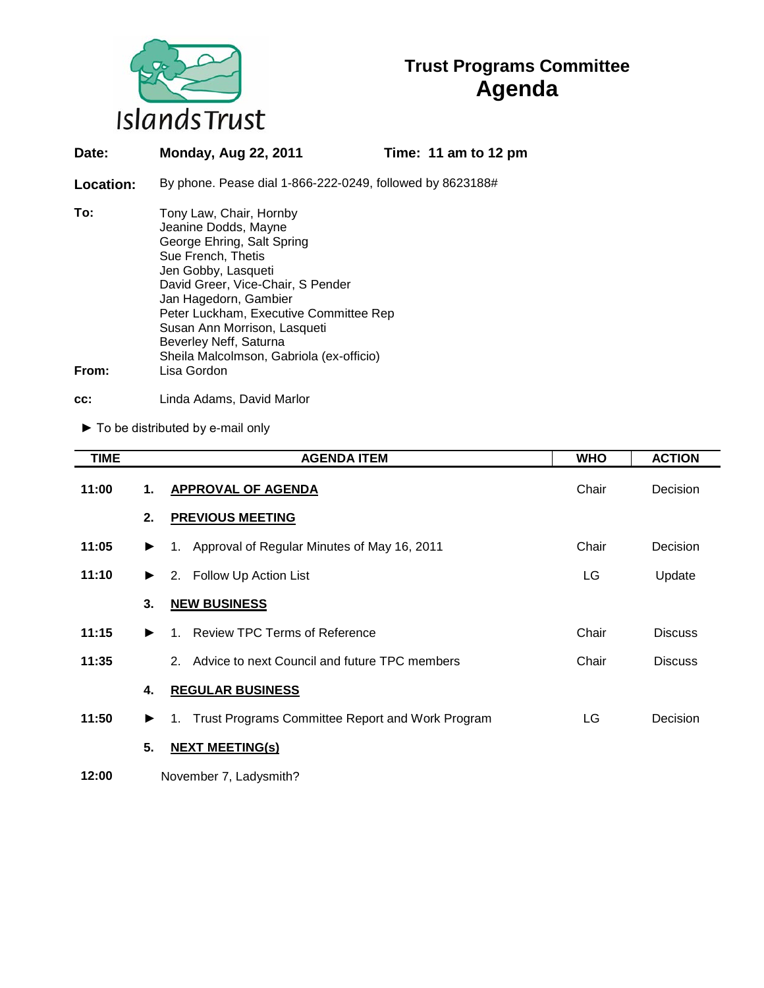

# **Trust Programs Committee Agenda**

| Date:        | <b>Monday, Aug 22, 2011</b>                                                                                                                                                                                                                                                                                                                             | Time: 11 am to 12 pm |  |
|--------------|---------------------------------------------------------------------------------------------------------------------------------------------------------------------------------------------------------------------------------------------------------------------------------------------------------------------------------------------------------|----------------------|--|
| Location:    | By phone. Pease dial 1-866-222-0249, followed by 8623188#                                                                                                                                                                                                                                                                                               |                      |  |
| To:<br>From: | Tony Law, Chair, Hornby<br>Jeanine Dodds, Mayne<br>George Ehring, Salt Spring<br>Sue French, Thetis<br>Jen Gobby, Lasqueti<br>David Greer, Vice-Chair, S Pender<br>Jan Hagedorn, Gambier<br>Peter Luckham, Executive Committee Rep<br>Susan Ann Morrison, Lasqueti<br>Beverley Neff, Saturna<br>Sheila Malcolmson, Gabriola (ex-officio)<br>Lisa Gordon |                      |  |
|              |                                                                                                                                                                                                                                                                                                                                                         |                      |  |

**cc:** Linda Adams, David Marlor

► To be distributed by e-mail only

| <b>TIME</b> |                       | <b>AGENDA ITEM</b>                                  | <b>WHO</b> | <b>ACTION</b>  |  |  |
|-------------|-----------------------|-----------------------------------------------------|------------|----------------|--|--|
| 11:00       | 1.                    | APPROVAL OF AGENDA                                  | Chair      | Decision       |  |  |
|             | 2.                    | <b>PREVIOUS MEETING</b>                             |            |                |  |  |
| 11:05       | $\blacktriangleright$ | 1. Approval of Regular Minutes of May 16, 2011      | Chair      | Decision       |  |  |
| 11:10       | ▶                     | 2. Follow Up Action List                            | LG         | Update         |  |  |
|             | 3.                    | <b>NEW BUSINESS</b>                                 |            |                |  |  |
| 11:15       | ▶                     | 1. Review TPC Terms of Reference                    | Chair      | <b>Discuss</b> |  |  |
| 11:35       |                       | 2. Advice to next Council and future TPC members    | Chair      | <b>Discuss</b> |  |  |
|             | 4.                    | <b>REGULAR BUSINESS</b>                             |            |                |  |  |
| 11:50       | ▶                     | 1. Trust Programs Committee Report and Work Program | LG         | Decision       |  |  |
|             | 5.                    | <b>NEXT MEETING(s)</b>                              |            |                |  |  |
| 12:00       |                       | November 7, Ladysmith?                              |            |                |  |  |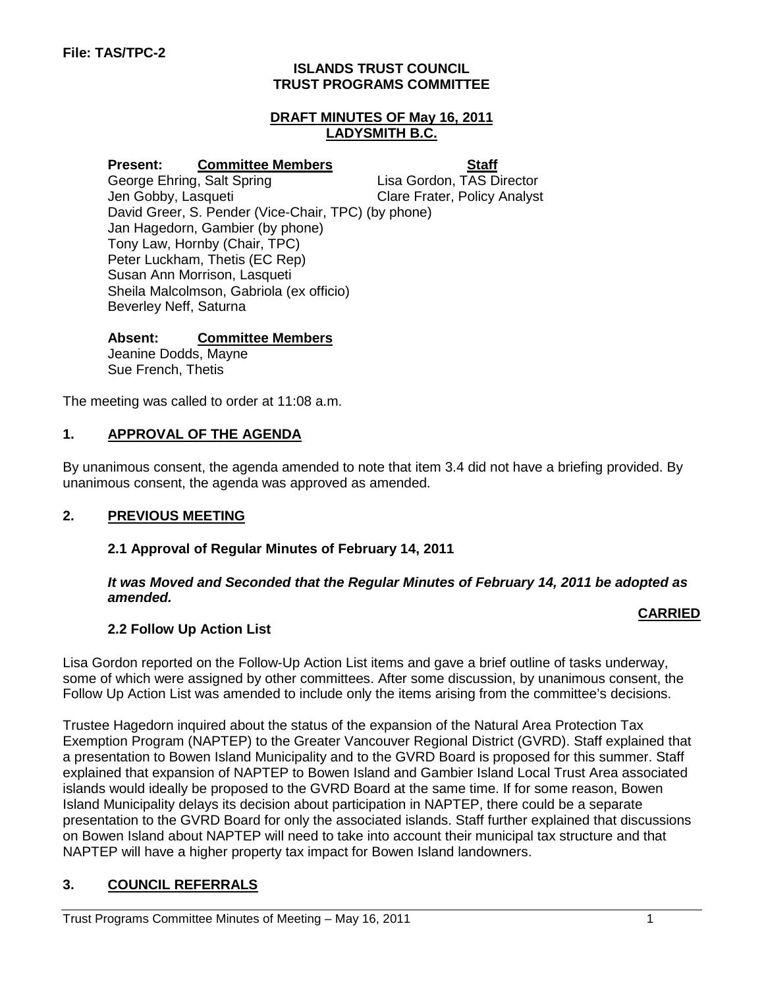#### **ISLANDS TRUST COUNCIL TRUST PROGRAMS COMMITTEE**

#### **DRAFT MINUTES OF May 16, 2011 LADYSMITH B.C.**

**Present:** Committee Members<br>
George Ehring, Salt Spring **State Committee Members**<br>
Lisa Gordon, TAS Director George Ehring, Salt Spring<br>Jen Gobby, Lasqueti Clare Frater, Policy Analyst David Greer, S. Pender (Vice-Chair, TPC) (by phone) Jan Hagedorn, Gambier (by phone) Tony Law, Hornby (Chair, TPC) Peter Luckham, Thetis (EC Rep) Susan Ann Morrison, Lasqueti Sheila Malcolmson, Gabriola (ex officio) Beverley Neff, Saturna

#### **Absent: Committee Members**

Jeanine Dodds, Mayne Sue French, Thetis

The meeting was called to order at 11:08 a.m.

#### **1. APPROVAL OF THE AGENDA**

By unanimous consent, the agenda amended to note that item 3.4 did not have a briefing provided. By unanimous consent, the agenda was approved as amended.

#### **2. PREVIOUS MEETING**

#### **2.1 Approval of Regular Minutes of February 14, 2011**

#### *It was Moved and Seconded that the Regular Minutes of February 14, 2011 be adopted as amended.*

#### **CARRIED**

### **2.2 Follow Up Action List**

Lisa Gordon reported on the Follow-Up Action List items and gave a brief outline of tasks underway, some of which were assigned by other committees. After some discussion, by unanimous consent, the Follow Up Action List was amended to include only the items arising from the committee's decisions.

Trustee Hagedorn inquired about the status of the expansion of the Natural Area Protection Tax Exemption Program (NAPTEP) to the Greater Vancouver Regional District (GVRD). Staff explained that a presentation to Bowen Island Municipality and to the GVRD Board is proposed for this summer. Staff explained that expansion of NAPTEP to Bowen Island and Gambier Island Local Trust Area associated islands would ideally be proposed to the GVRD Board at the same time. If for some reason, Bowen Island Municipality delays its decision about participation in NAPTEP, there could be a separate presentation to the GVRD Board for only the associated islands. Staff further explained that discussions on Bowen Island about NAPTEP will need to take into account their municipal tax structure and that NAPTEP will have a higher property tax impact for Bowen Island landowners.

### **3. COUNCIL REFERRALS**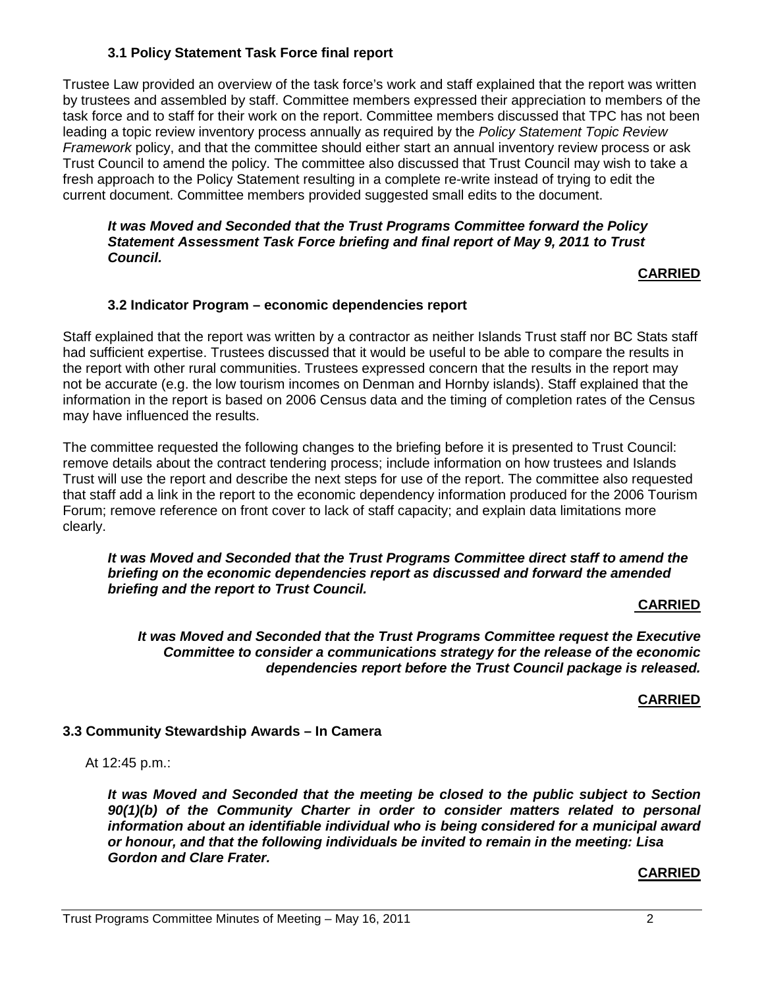### **3.1 Policy Statement Task Force final report**

Trustee Law provided an overview of the task force's work and staff explained that the report was written by trustees and assembled by staff. Committee members expressed their appreciation to members of the task force and to staff for their work on the report. Committee members discussed that TPC has not been leading a topic review inventory process annually as required by the *Policy Statement Topic Review Framework* policy, and that the committee should either start an annual inventory review process or ask Trust Council to amend the policy. The committee also discussed that Trust Council may wish to take a fresh approach to the Policy Statement resulting in a complete re-write instead of trying to edit the current document. Committee members provided suggested small edits to the document.

#### *It was Moved and Seconded that the Trust Programs Committee forward the Policy Statement Assessment Task Force briefing and final report of May 9, 2011 to Trust Council.*

#### **CARRIED**

#### **3.2 Indicator Program – economic dependencies report**

Staff explained that the report was written by a contractor as neither Islands Trust staff nor BC Stats staff had sufficient expertise. Trustees discussed that it would be useful to be able to compare the results in the report with other rural communities. Trustees expressed concern that the results in the report may not be accurate (e.g. the low tourism incomes on Denman and Hornby islands). Staff explained that the information in the report is based on 2006 Census data and the timing of completion rates of the Census may have influenced the results.

The committee requested the following changes to the briefing before it is presented to Trust Council: remove details about the contract tendering process; include information on how trustees and Islands Trust will use the report and describe the next steps for use of the report. The committee also requested that staff add a link in the report to the economic dependency information produced for the 2006 Tourism Forum; remove reference on front cover to lack of staff capacity; and explain data limitations more clearly.

#### *It was Moved and Seconded that the Trust Programs Committee direct staff to amend the briefing on the economic dependencies report as discussed and forward the amended briefing and the report to Trust Council.*

#### **CARRIED**

*It was Moved and Seconded that the Trust Programs Committee request the Executive Committee to consider a communications strategy for the release of the economic dependencies report before the Trust Council package is released.*

#### **CARRIED**

### **3.3 Community Stewardship Awards – In Camera**

At 12:45 p.m.:

*It was Moved and Seconded that the meeting be closed to the public subject to Section*  90(1)(b) of the Community Charter in order to consider matters related to personal *information about an identifiable individual who is being considered for a municipal award or honour, and that the following individuals be invited to remain in the meeting: Lisa Gordon and Clare Frater.*

#### **CARRIED**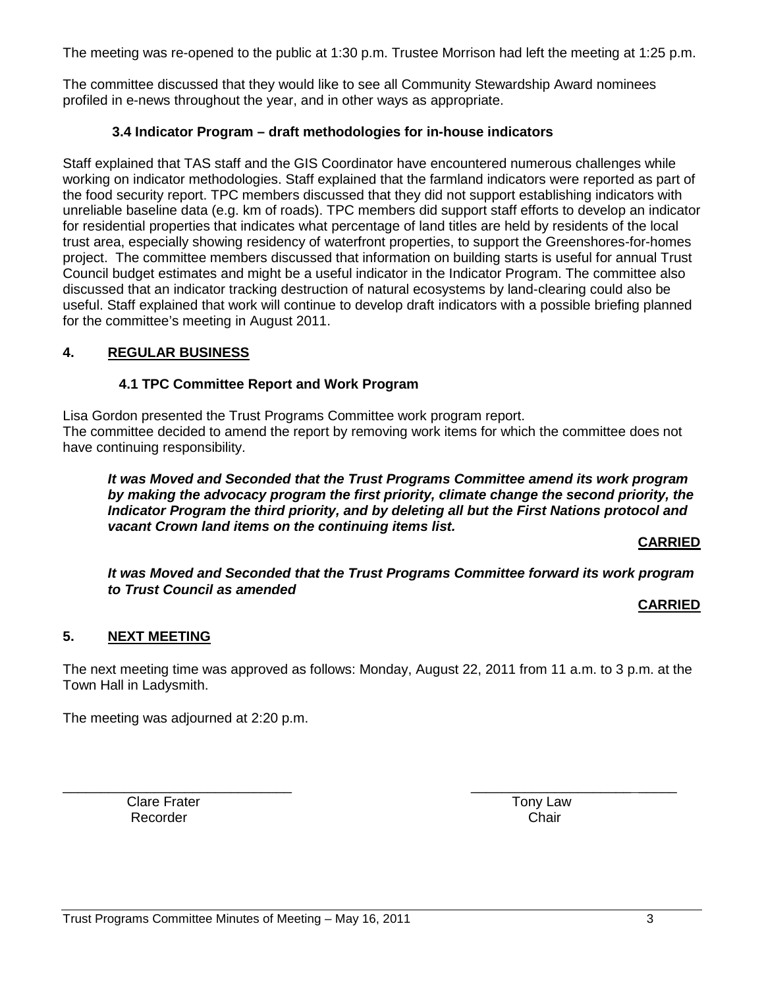The meeting was re-opened to the public at 1:30 p.m. Trustee Morrison had left the meeting at 1:25 p.m.

The committee discussed that they would like to see all Community Stewardship Award nominees profiled in e-news throughout the year, and in other ways as appropriate.

#### **3.4 Indicator Program – draft methodologies for in-house indicators**

Staff explained that TAS staff and the GIS Coordinator have encountered numerous challenges while working on indicator methodologies. Staff explained that the farmland indicators were reported as part of the food security report. TPC members discussed that they did not support establishing indicators with unreliable baseline data (e.g. km of roads). TPC members did support staff efforts to develop an indicator for residential properties that indicates what percentage of land titles are held by residents of the local trust area, especially showing residency of waterfront properties, to support the Greenshores-for-homes project. The committee members discussed that information on building starts is useful for annual Trust Council budget estimates and might be a useful indicator in the Indicator Program. The committee also discussed that an indicator tracking destruction of natural ecosystems by land-clearing could also be useful. Staff explained that work will continue to develop draft indicators with a possible briefing planned for the committee's meeting in August 2011.

### **4. REGULAR BUSINESS**

#### **4.1 TPC Committee Report and Work Program**

Lisa Gordon presented the Trust Programs Committee work program report. The committee decided to amend the report by removing work items for which the committee does not have continuing responsibility.

*It was Moved and Seconded that the Trust Programs Committee amend its work program by making the advocacy program the first priority, climate change the second priority, the Indicator Program the third priority, and by deleting all but the First Nations protocol and vacant Crown land items on the continuing items list.*

**CARRIED**

*It was Moved and Seconded that the Trust Programs Committee forward its work program to Trust Council as amended*

#### **CARRIED**

### **5. NEXT MEETING**

The next meeting time was approved as follows: Monday, August 22, 2011 from 11 a.m. to 3 p.m. at the Town Hall in Ladysmith.

The meeting was adjourned at 2:20 p.m.

Clare Frater **Tony Law** Recorder **Chair** 

\_\_\_\_\_\_\_\_\_\_\_\_\_\_\_\_\_\_\_\_\_\_\_\_\_\_\_\_\_\_ \_\_\_\_\_\_\_\_\_\_\_\_\_\_\_\_\_\_\_\_\_ \_\_\_\_\_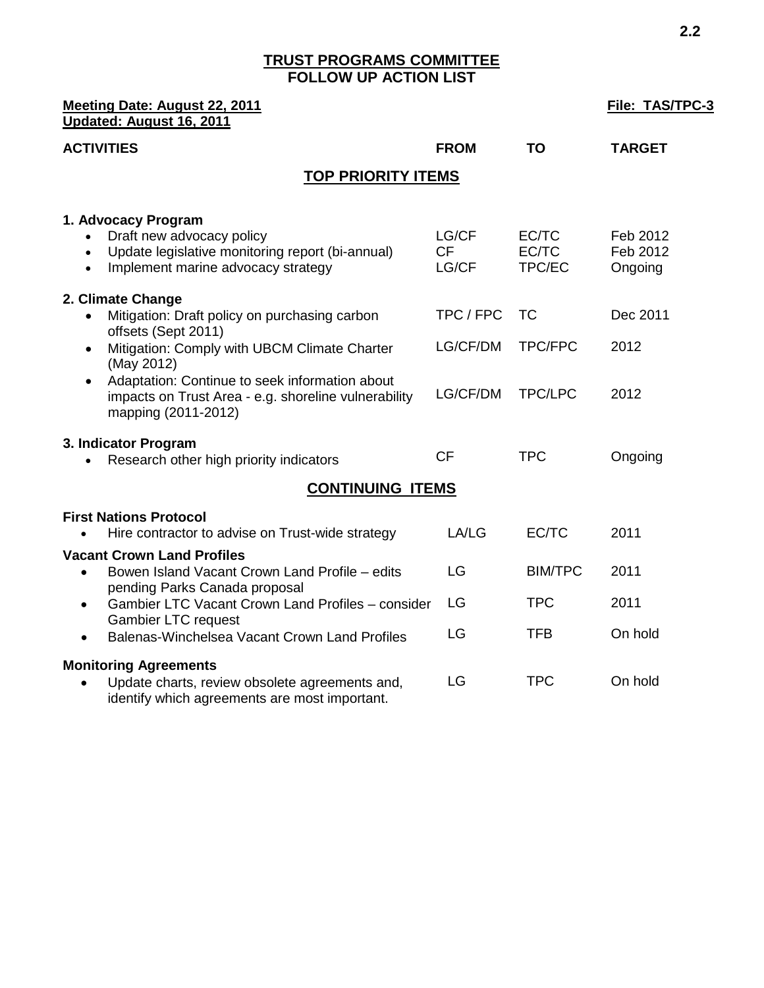### **TRUST PROGRAMS COMMITTEE FOLLOW UP ACTION LIST**

| Meeting Date: August 22, 2011<br>Updated: August 16, 2011                                                                                                            | <b>File: TAS/TPC-3</b>      |                          |                                 |
|----------------------------------------------------------------------------------------------------------------------------------------------------------------------|-----------------------------|--------------------------|---------------------------------|
| <b>ACTIVITIES</b>                                                                                                                                                    | <b>FROM</b>                 | <b>TO</b>                | <b>TARGET</b>                   |
| <b>TOP PRIORITY ITEMS</b>                                                                                                                                            |                             |                          |                                 |
| 1. Advocacy Program<br>Draft new advocacy policy<br>Update legislative monitoring report (bi-annual)<br>$\bullet$<br>Implement marine advocacy strategy<br>$\bullet$ | LG/CF<br><b>CF</b><br>LG/CF | EC/TC<br>EC/TC<br>TPC/EC | Feb 2012<br>Feb 2012<br>Ongoing |
| 2. Climate Change<br>Mitigation: Draft policy on purchasing carbon                                                                                                   | TPC / FPC                   | <b>TC</b>                | Dec 2011                        |
| offsets (Sept 2011)<br>Mitigation: Comply with UBCM Climate Charter<br>$\bullet$<br>(May 2012)                                                                       | LG/CF/DM                    | <b>TPC/FPC</b>           | 2012                            |
| Adaptation: Continue to seek information about<br>$\bullet$<br>impacts on Trust Area - e.g. shoreline vulnerability<br>mapping (2011-2012)                           | LG/CF/DM                    | <b>TPC/LPC</b>           | 2012                            |
| 3. Indicator Program<br>Research other high priority indicators                                                                                                      | <b>CF</b>                   | <b>TPC</b>               | Ongoing                         |
| <b>CONTINUING ITEMS</b>                                                                                                                                              |                             |                          |                                 |
| <b>First Nations Protocol</b><br>Hire contractor to advise on Trust-wide strategy                                                                                    | LA/LG                       | EC/TC                    | 2011                            |
| <b>Vacant Crown Land Profiles</b><br>Bowen Island Vacant Crown Land Profile - edits<br>$\bullet$<br>pending Parks Canada proposal                                    | LG                          | <b>BIM/TPC</b>           | 2011                            |
| Gambier LTC Vacant Crown Land Profiles - consider<br>$\bullet$<br><b>Gambier LTC request</b>                                                                         | LG                          | <b>TPC</b>               | 2011                            |
| Balenas-Winchelsea Vacant Crown Land Profiles<br>$\bullet$                                                                                                           | LG                          | <b>TFB</b>               | On hold                         |
| <b>Monitoring Agreements</b><br>Update charts, review obsolete agreements and,<br>identify which agreements are most important.                                      | LG                          | <b>TPC</b>               | On hold                         |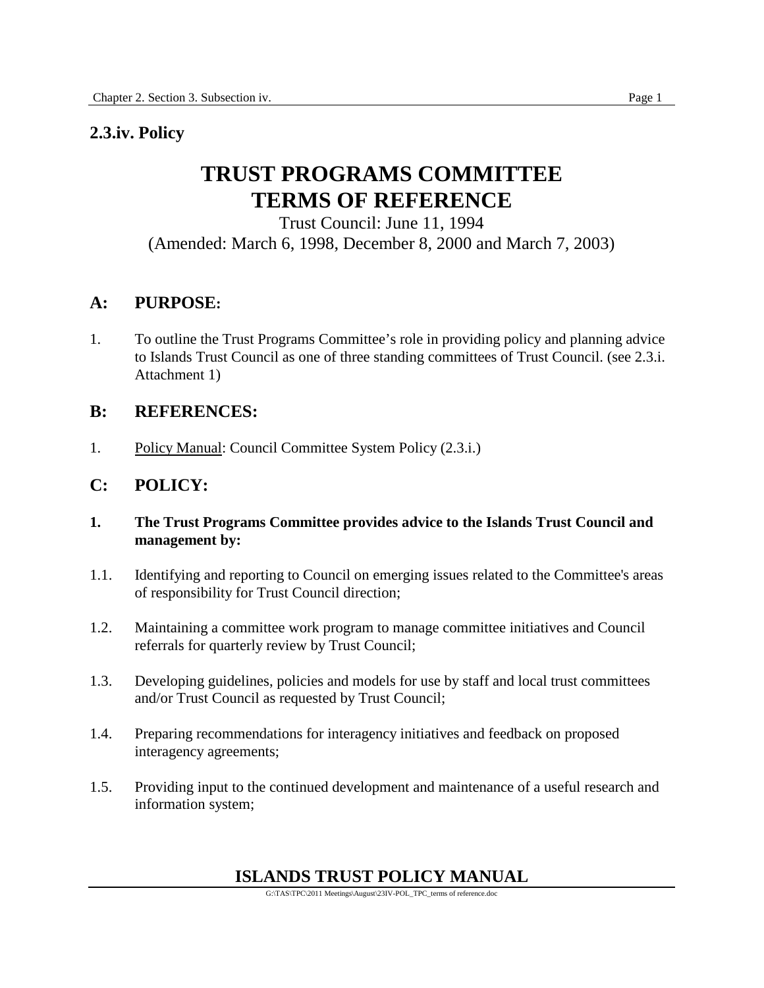# **2.3.iv. Policy**

# **TRUST PROGRAMS COMMITTEE TERMS OF REFERENCE**

Trust Council: June 11, 1994 (Amended: March 6, 1998, December 8, 2000 and March 7, 2003)

# **A: PURPOSE:**

1. To outline the Trust Programs Committee's role in providing policy and planning advice to Islands Trust Council as one of three standing committees of Trust Council. (see 2.3.i. Attachment 1)

# **B: REFERENCES:**

1. Policy Manual: Council Committee System Policy (2.3.i.)

# **C: POLICY:**

- **1. The Trust Programs Committee provides advice to the Islands Trust Council and management by:**
- 1.1. Identifying and reporting to Council on emerging issues related to the Committee's areas of responsibility for Trust Council direction;
- 1.2. Maintaining a committee work program to manage committee initiatives and Council referrals for quarterly review by Trust Council;
- 1.3. Developing guidelines, policies and models for use by staff and local trust committees and/or Trust Council as requested by Trust Council;
- 1.4. Preparing recommendations for interagency initiatives and feedback on proposed interagency agreements;
- 1.5. Providing input to the continued development and maintenance of a useful research and information system;

# **ISLANDS TRUST POLICY MANUAL**

G:\TAS\TPC\2011 Meetings\August\23IV-POL\_TPC\_terms of reference.doc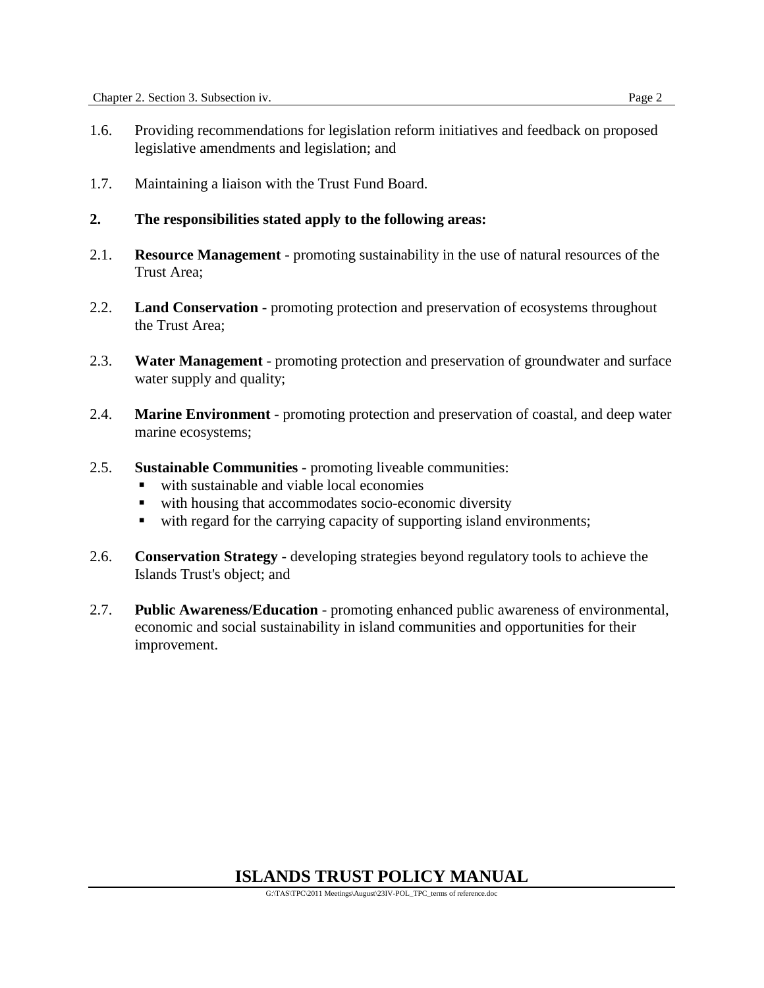- 1.6. Providing recommendations for legislation reform initiatives and feedback on proposed legislative amendments and legislation; and
- 1.7. Maintaining a liaison with the Trust Fund Board.
- **2. The responsibilities stated apply to the following areas:**
- 2.1. **Resource Management** promoting sustainability in the use of natural resources of the Trust Area;
- 2.2. **Land Conservation** promoting protection and preservation of ecosystems throughout the Trust Area;
- 2.3. **Water Management** promoting protection and preservation of groundwater and surface water supply and quality;
- 2.4. **Marine Environment** promoting protection and preservation of coastal, and deep water marine ecosystems;
- 2.5. **Sustainable Communities** promoting liveable communities:
	- with sustainable and viable local economies
	- with housing that accommodates socio-economic diversity
	- with regard for the carrying capacity of supporting island environments;
- 2.6. **Conservation Strategy** developing strategies beyond regulatory tools to achieve the Islands Trust's object; and
- 2.7. **Public Awareness/Education** promoting enhanced public awareness of environmental, economic and social sustainability in island communities and opportunities for their improvement.

# **ISLANDS TRUST POLICY MANUAL**